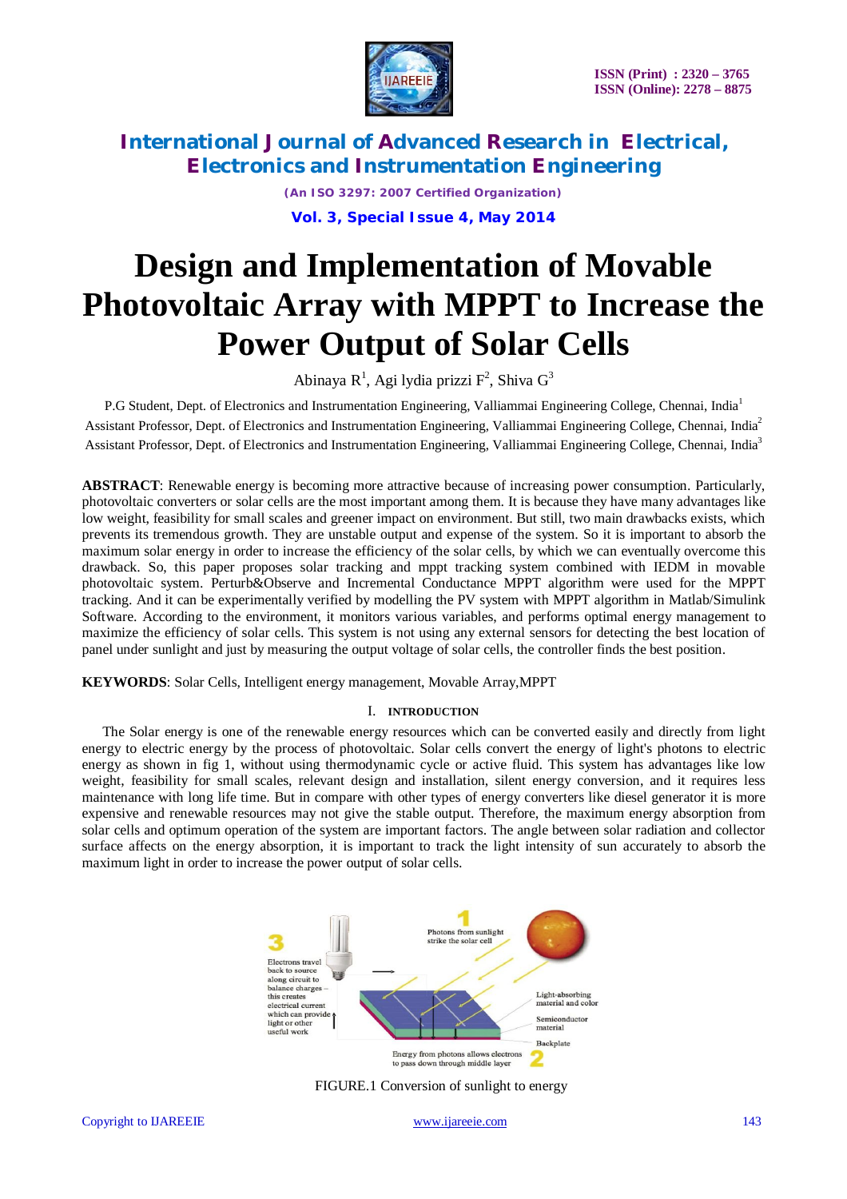

*(An ISO 3297: 2007 Certified Organization)* **Vol. 3, Special Issue 4, May 2014**

# **Design and Implementation of Movable Photovoltaic Array with MPPT to Increase the Power Output of Solar Cells**

Abinaya R<sup>1</sup>, Agi lydia prizzi F<sup>2</sup>, Shiva G<sup>3</sup>

P.G Student, Dept. of Electronics and Instrumentation Engineering, Valliammai Engineering College, Chennai, India<sup>1</sup> Assistant Professor, Dept. of Electronics and Instrumentation Engineering, Valliammai Engineering College, Chennai, India<sup>2</sup> Assistant Professor, Dept. of Electronics and Instrumentation Engineering, Valliammai Engineering College, Chennai, India<sup>3</sup>

**ABSTRACT**: Renewable energy is becoming more attractive because of increasing power consumption. Particularly, photovoltaic converters or solar cells are the most important among them. It is because they have many advantages like low weight, feasibility for small scales and greener impact on environment. But still, two main drawbacks exists, which prevents its tremendous growth. They are unstable output and expense of the system. So it is important to absorb the maximum solar energy in order to increase the efficiency of the solar cells, by which we can eventually overcome this drawback. So, this paper proposes solar tracking and mppt tracking system combined with IEDM in movable photovoltaic system. Perturb&Observe and Incremental Conductance MPPT algorithm were used for the MPPT tracking. And it can be experimentally verified by modelling the PV system with MPPT algorithm in Matlab/Simulink Software. According to the environment, it monitors various variables, and performs optimal energy management to maximize the efficiency of solar cells. This system is not using any external sensors for detecting the best location of panel under sunlight and just by measuring the output voltage of solar cells, the controller finds the best position.

**KEYWORDS**: Solar Cells, Intelligent energy management, Movable Array,MPPT

#### I. **INTRODUCTION**

The Solar energy is one of the renewable energy resources which can be converted easily and directly from light energy to electric energy by the process of photovoltaic. Solar cells convert the energy of light's photons to electric energy as shown in fig 1, without using thermodynamic cycle or active fluid. This system has advantages like low weight, feasibility for small scales, relevant design and installation, silent energy conversion, and it requires less maintenance with long life time. But in compare with other types of energy converters like diesel generator it is more expensive and renewable resources may not give the stable output. Therefore, the maximum energy absorption from solar cells and optimum operation of the system are important factors. The angle between solar radiation and collector surface affects on the energy absorption, it is important to track the light intensity of sun accurately to absorb the maximum light in order to increase the power output of solar cells.



FIGURE.1 Conversion of sunlight to energy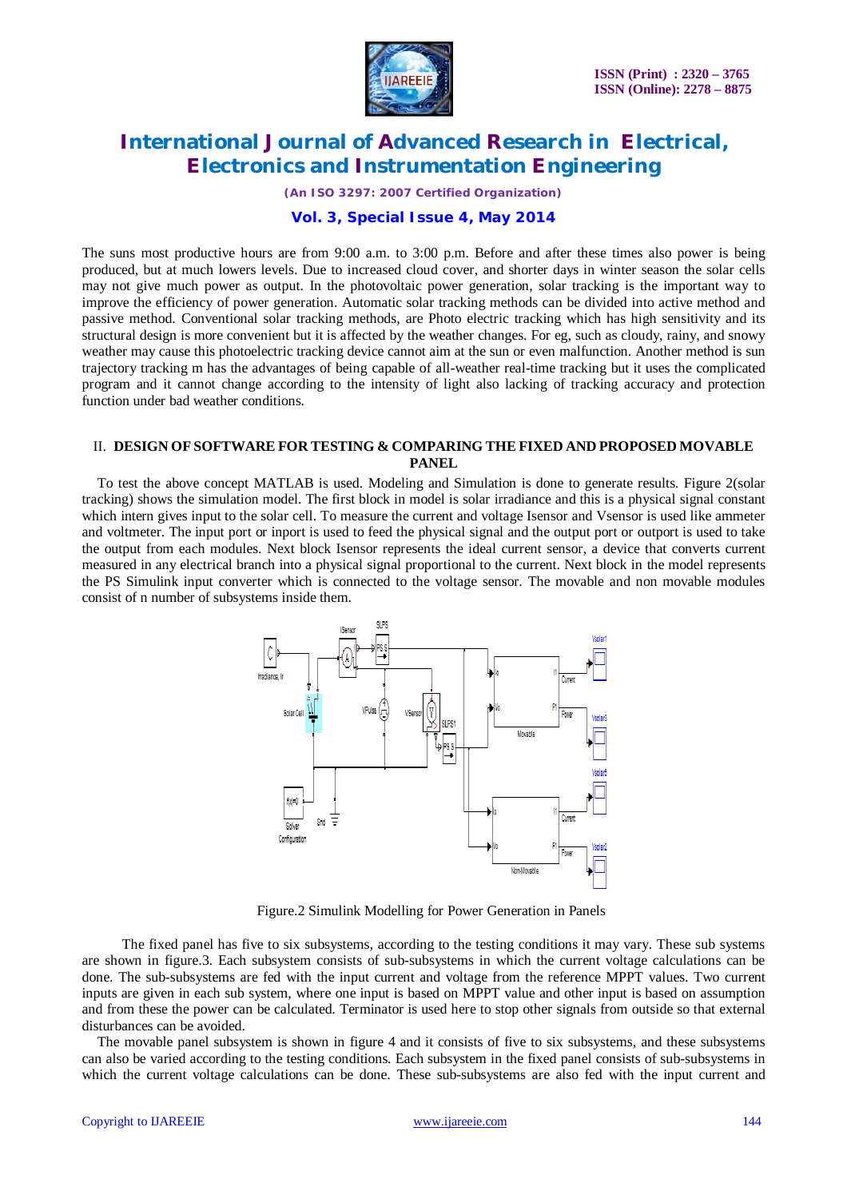

*(An ISO 3297: 2007 Certified Organization)*

### **Vol. 3, Special Issue 4, May 2014**

The suns most productive hours are from 9:00 a.m. to 3:00 p.m. Before and after these times also power is being produced, but at much lowers levels. Due to increased cloud cover, and shorter days in winter season the solar cells may not give much power as output. In the photovoltaic power generation, solar tracking is the important way to improve the efficiency of power generation. Automatic solar tracking methods can be divided into active method and passive method. Conventional solar tracking methods, are Photo electric tracking which has high sensitivity and its structural design is more convenient but it is affected by the weather changes. For eg, such as cloudy, rainy, and snowy weather may cause this photoelectric tracking device cannot aim at the sun or even malfunction. Another method is sun trajectory tracking m has the advantages of being capable of all-weather real-time tracking but it uses the complicated program and it cannot change according to the intensity of light also lacking of tracking accuracy and protection function under bad weather conditions.

#### II. **DESIGN OF SOFTWARE FOR TESTING & COMPARING THE FIXED AND PROPOSED MOVABLE PANEL**

To test the above concept MATLAB is used. Modeling and Simulation is done to generate results. Figure 2(solar tracking) shows the simulation model. The first block in model is solar irradiance and this is a physical signal constant which intern gives input to the solar cell. To measure the current and voltage Isensor and Vsensor is used like ammeter and voltmeter. The input port or inport is used to feed the physical signal and the output port or outport is used to take the output from each modules. Next block Isensor represents the ideal current sensor, a device that converts current measured in any electrical branch into a physical signal proportional to the current. Next block in the model represents the PS Simulink input converter which is connected to the voltage sensor. The movable and non movable modules consist of n number of subsystems inside them.



Figure.2 Simulink Modelling for Power Generation in Panels

 The fixed panel has five to six subsystems, according to the testing conditions it may vary. These sub systems are shown in figure.3. Each subsystem consists of sub-subsystems in which the current voltage calculations can be done. The sub-subsystems are fed with the input current and voltage from the reference MPPT values. Two current inputs are given in each sub system, where one input is based on MPPT value and other input is based on assumption and from these the power can be calculated. Terminator is used here to stop other signals from outside so that external disturbances can be avoided.

The movable panel subsystem is shown in figure 4 and it consists of five to six subsystems, and these subsystems can also be varied according to the testing conditions. Each subsystem in the fixed panel consists of sub-subsystems in which the current voltage calculations can be done. These sub-subsystems are also fed with the input current and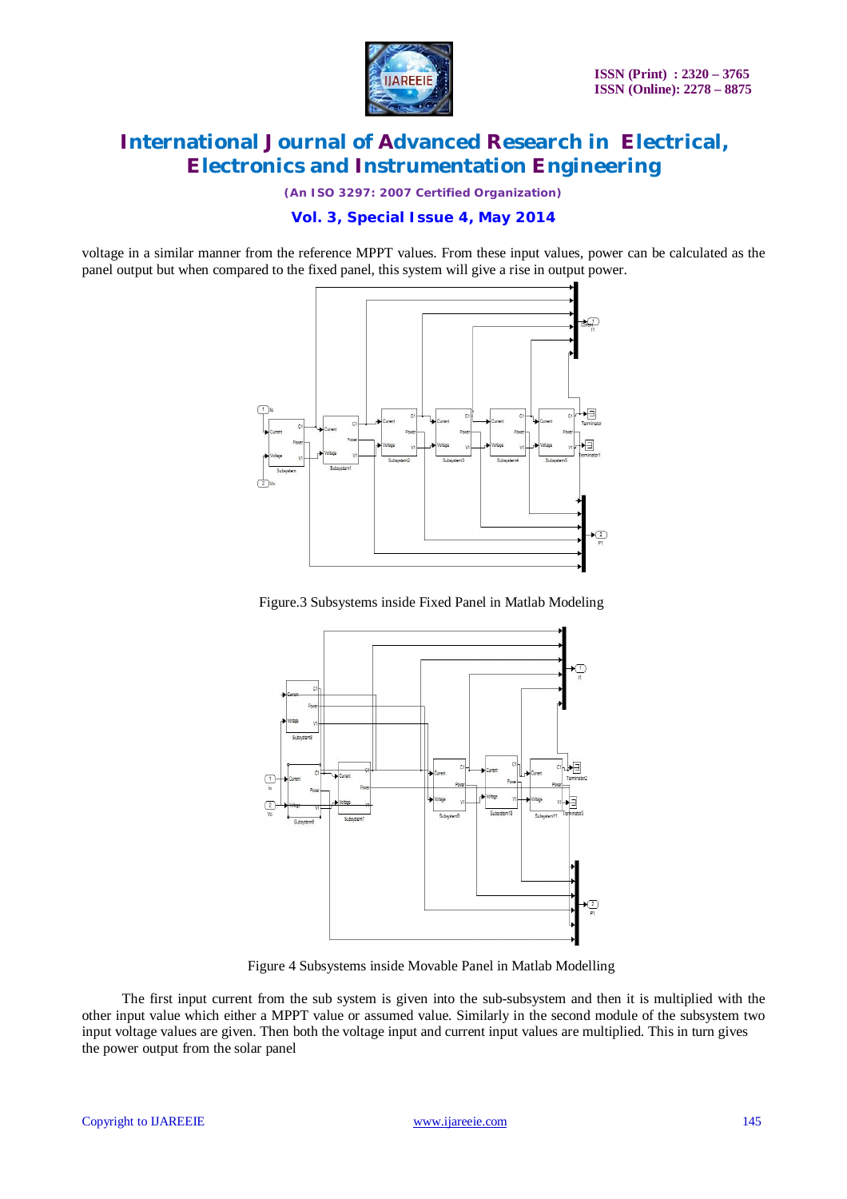

*(An ISO 3297: 2007 Certified Organization)*

### **Vol. 3, Special Issue 4, May 2014**

voltage in a similar manner from the reference MPPT values. From these input values, power can be calculated as the panel output but when compared to the fixed panel, this system will give a rise in output power.



Figure.3 Subsystems inside Fixed Panel in Matlab Modeling



Figure 4 Subsystems inside Movable Panel in Matlab Modelling

 The first input current from the sub system is given into the sub-subsystem and then it is multiplied with the other input value which either a MPPT value or assumed value. Similarly in the second module of the subsystem two input voltage values are given. Then both the voltage input and current input values are multiplied. This in turn gives the power output from the solar panel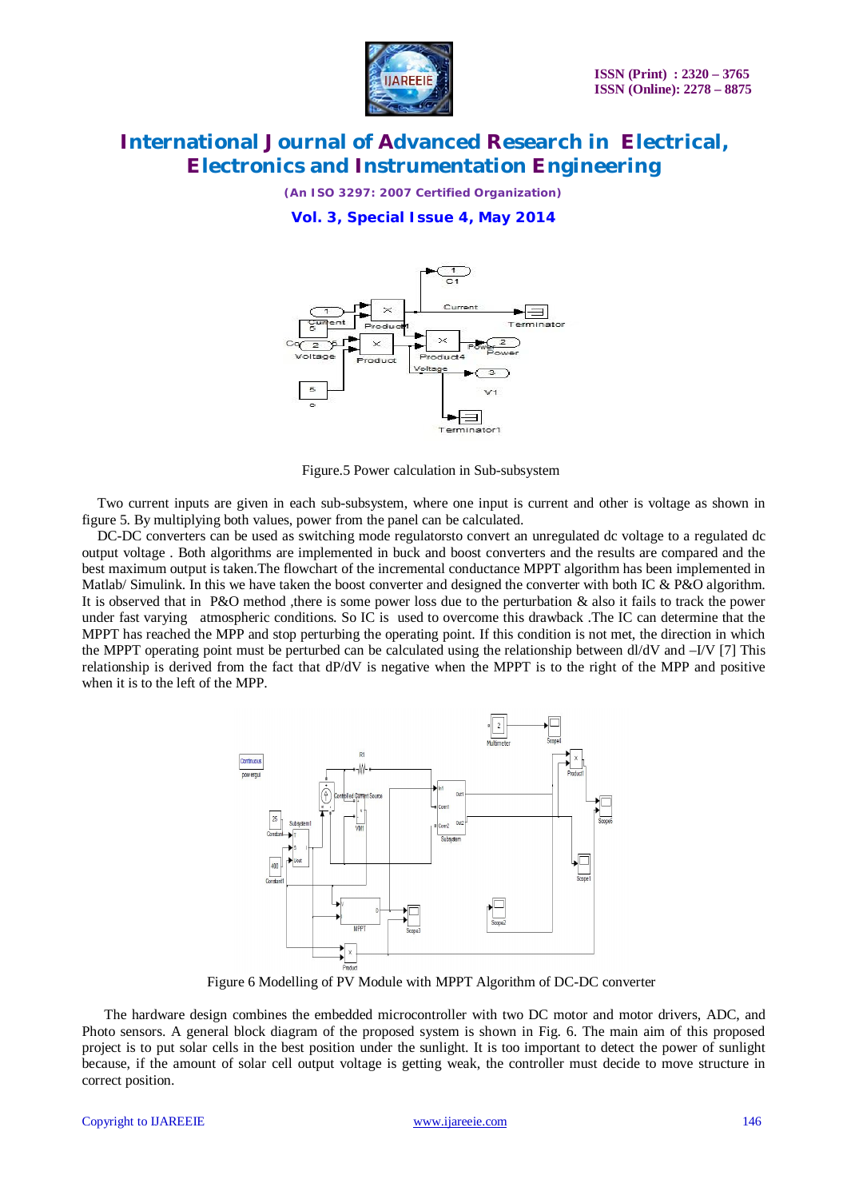

*(An ISO 3297: 2007 Certified Organization)*

**Vol. 3, Special Issue 4, May 2014**



Figure.5 Power calculation in Sub-subsystem

Two current inputs are given in each sub-subsystem, where one input is current and other is voltage as shown in figure 5. By multiplying both values, power from the panel can be calculated.

DC-DC converters can be used as switching mode regulatorsto convert an unregulated dc voltage to a regulated dc output voltage . Both algorithms are implemented in buck and boost converters and the results are compared and the best maximum output is taken.The flowchart of the incremental conductance MPPT algorithm has been implemented in Matlab/ Simulink. In this we have taken the boost converter and designed the converter with both IC & P&O algorithm. It is observed that in P&O method , there is some power loss due to the perturbation & also it fails to track the power under fast varying atmospheric conditions. So IC is used to overcome this drawback .The IC can determine that the MPPT has reached the MPP and stop perturbing the operating point. If this condition is not met, the direction in which the MPPT operating point must be perturbed can be calculated using the relationship between dl/dV and –I/V [7] This relationship is derived from the fact that dP/dV is negative when the MPPT is to the right of the MPP and positive when it is to the left of the MPP.



Figure 6 Modelling of PV Module with MPPT Algorithm of DC-DC converter

 The hardware design combines the embedded microcontroller with two DC motor and motor drivers, ADC, and Photo sensors. A general block diagram of the proposed system is shown in Fig. 6. The main aim of this proposed project is to put solar cells in the best position under the sunlight. It is too important to detect the power of sunlight because, if the amount of solar cell output voltage is getting weak, the controller must decide to move structure in correct position.

#### Copyright to IJAREEIE www.ijareeie.com 146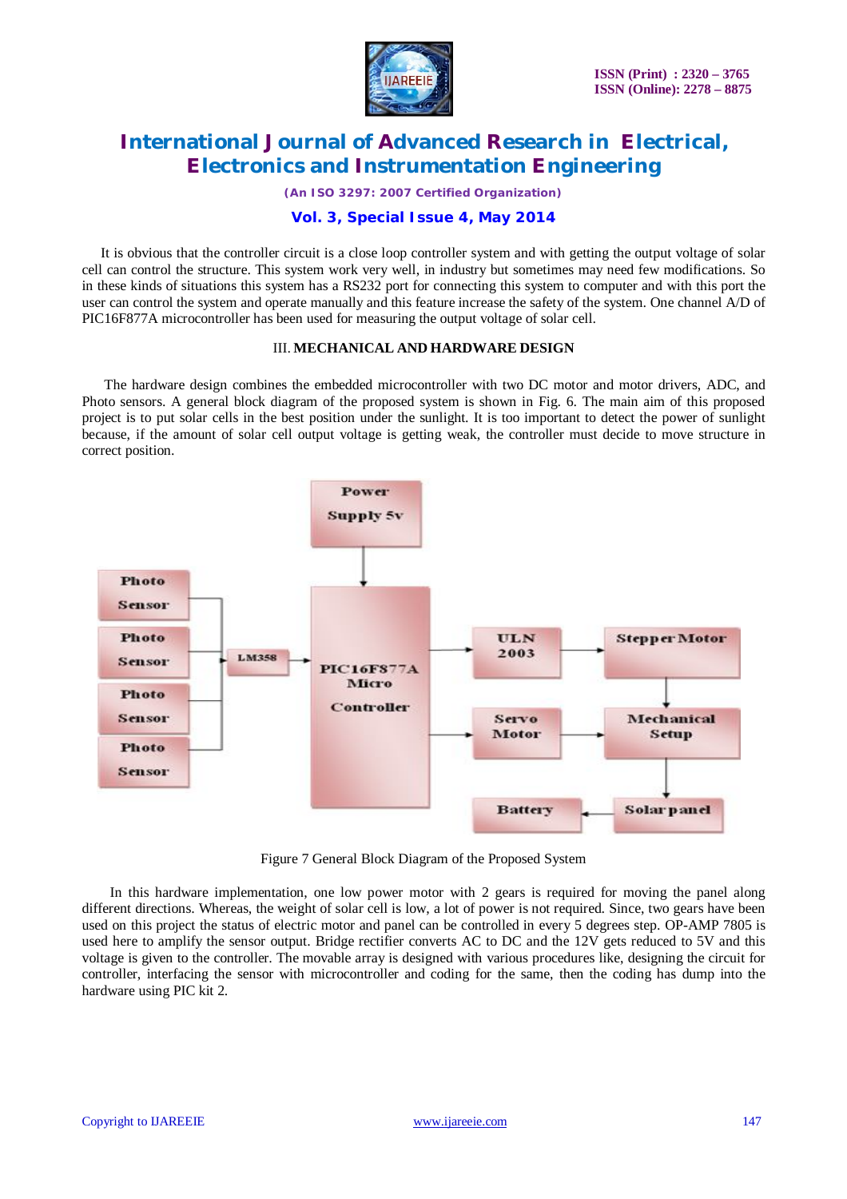

*(An ISO 3297: 2007 Certified Organization)*

### **Vol. 3, Special Issue 4, May 2014**

It is obvious that the controller circuit is a close loop controller system and with getting the output voltage of solar cell can control the structure. This system work very well, in industry but sometimes may need few modifications. So in these kinds of situations this system has a RS232 port for connecting this system to computer and with this port the user can control the system and operate manually and this feature increase the safety of the system. One channel A/D of PIC16F877A microcontroller has been used for measuring the output voltage of solar cell.

#### III. **MECHANICAL AND HARDWARE DESIGN**

 The hardware design combines the embedded microcontroller with two DC motor and motor drivers, ADC, and Photo sensors. A general block diagram of the proposed system is shown in Fig. 6. The main aim of this proposed project is to put solar cells in the best position under the sunlight. It is too important to detect the power of sunlight because, if the amount of solar cell output voltage is getting weak, the controller must decide to move structure in correct position.



Figure 7 General Block Diagram of the Proposed System

 In this hardware implementation, one low power motor with 2 gears is required for moving the panel along different directions. Whereas, the weight of solar cell is low, a lot of power is not required. Since, two gears have been used on this project the status of electric motor and panel can be controlled in every 5 degrees step. OP-AMP 7805 is used here to amplify the sensor output. Bridge rectifier converts AC to DC and the 12V gets reduced to 5V and this voltage is given to the controller. The movable array is designed with various procedures like, designing the circuit for controller, interfacing the sensor with microcontroller and coding for the same, then the coding has dump into the hardware using PIC kit 2.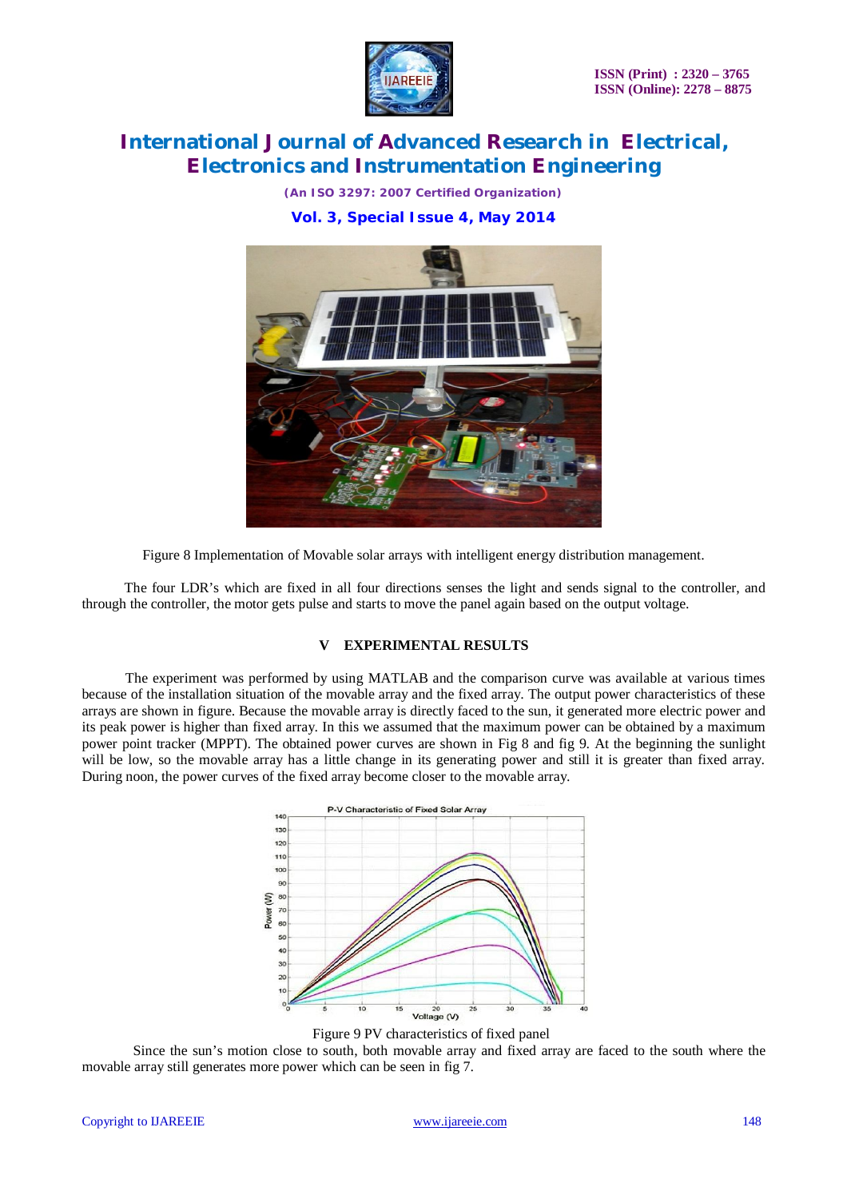

*(An ISO 3297: 2007 Certified Organization)* **Vol. 3, Special Issue 4, May 2014**



Figure 8 Implementation of Movable solar arrays with intelligent energy distribution management.

 The four LDR's which are fixed in all four directions senses the light and sends signal to the controller, and through the controller, the motor gets pulse and starts to move the panel again based on the output voltage.

### **V EXPERIMENTAL RESULTS**

 The experiment was performed by using MATLAB and the comparison curve was available at various times because of the installation situation of the movable array and the fixed array. The output power characteristics of these arrays are shown in figure. Because the movable array is directly faced to the sun, it generated more electric power and its peak power is higher than fixed array. In this we assumed that the maximum power can be obtained by a maximum power point tracker (MPPT). The obtained power curves are shown in Fig 8 and fig 9. At the beginning the sunlight will be low, so the movable array has a little change in its generating power and still it is greater than fixed array. During noon, the power curves of the fixed array become closer to the movable array.



Figure 9 PV characteristics of fixed panel

Since the sun's motion close to south, both movable array and fixed array are faced to the south where the movable array still generates more power which can be seen in fig 7.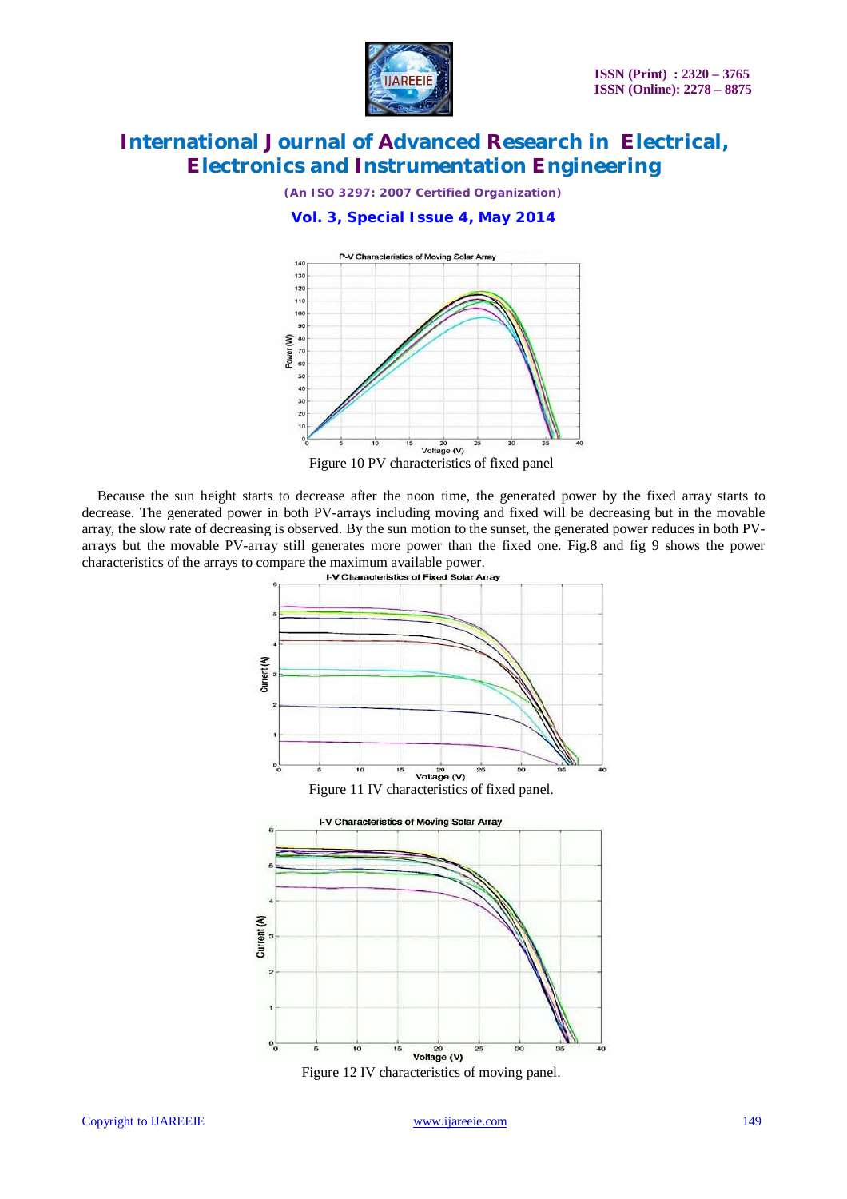

*(An ISO 3297: 2007 Certified Organization)*

**Vol. 3, Special Issue 4, May 2014**



Figure 10 PV characteristics of fixed panel

Because the sun height starts to decrease after the noon time, the generated power by the fixed array starts to decrease. The generated power in both PV-arrays including moving and fixed will be decreasing but in the movable array, the slow rate of decreasing is observed. By the sun motion to the sunset, the generated power reduces in both PVarrays but the movable PV-array still generates more power than the fixed one. Fig.8 and fig 9 shows the power characteristics of the arrays to compare the maximum available power.<br>In Characteristics of Fixed Solar Array



Figure 12 IV characteristics of moving panel.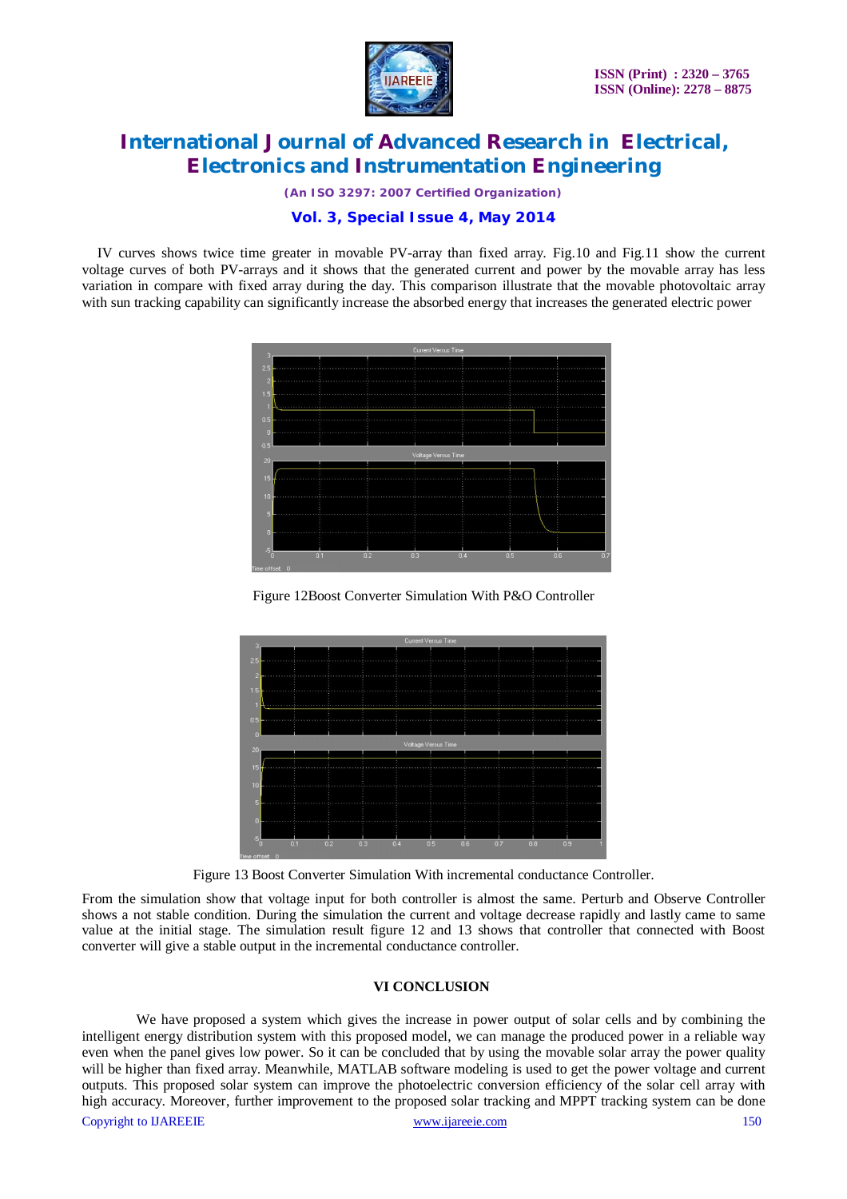

*(An ISO 3297: 2007 Certified Organization)*

### **Vol. 3, Special Issue 4, May 2014**

IV curves shows twice time greater in movable PV-array than fixed array. Fig.10 and Fig.11 show the current voltage curves of both PV-arrays and it shows that the generated current and power by the movable array has less variation in compare with fixed array during the day. This comparison illustrate that the movable photovoltaic array with sun tracking capability can significantly increase the absorbed energy that increases the generated electric power



Figure 12Boost Converter Simulation With P&O Controller



Figure 13 Boost Converter Simulation With incremental conductance Controller.

From the simulation show that voltage input for both controller is almost the same. Perturb and Observe Controller shows a not stable condition. During the simulation the current and voltage decrease rapidly and lastly came to same value at the initial stage. The simulation result figure 12 and 13 shows that controller that connected with Boost converter will give a stable output in the incremental conductance controller.

#### **VI CONCLUSION**

Copyright to UAREEIE www.ijareeie.com www.ijareeie.com 150 We have proposed a system which gives the increase in power output of solar cells and by combining the intelligent energy distribution system with this proposed model, we can manage the produced power in a reliable way even when the panel gives low power. So it can be concluded that by using the movable solar array the power quality will be higher than fixed array. Meanwhile, MATLAB software modeling is used to get the power voltage and current outputs. This proposed solar system can improve the photoelectric conversion efficiency of the solar cell array with high accuracy. Moreover, further improvement to the proposed solar tracking and MPPT tracking system can be done